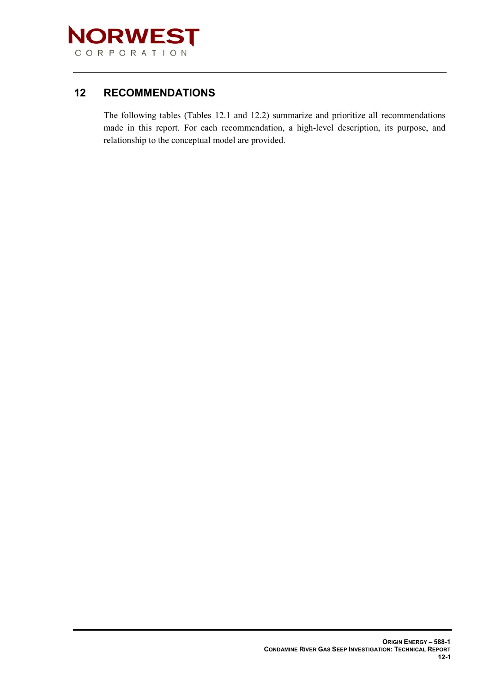

## **12 RECOMMENDATIONS**

The following tables (Tables 12.1 and 12.2) summarize and prioritize all recommendations made in this report. For each recommendation, a high-level description, its purpose, and relationship to the conceptual model are provided.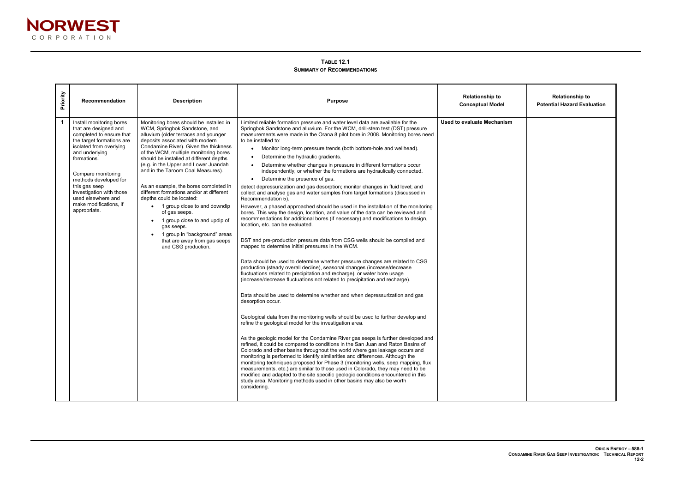| <b>Relationship to</b><br><b>Potential Hazard Evaluation</b> |
|--------------------------------------------------------------|
|                                                              |
|                                                              |
|                                                              |
|                                                              |
|                                                              |
|                                                              |
|                                                              |
|                                                              |
|                                                              |
|                                                              |

 $\blacksquare$ 



**TABLE 12.1 SUMMARY OF RECOMMENDATIONS**

| Priority    | <b>Recommendation</b>                                                                                                                                                                                                                                                                                                              | <b>Description</b>                                                                                                                                                                                                                                                                                                                                                                                                                                                                                                                                                                                                                                                                    | <b>Purpose</b>                                                                                                                                                                                                                                                                                                                                                                                                                                                                                                                                                                                                                                                                                                                                                                                                                                                                                                                                                                                                                                                                                                                                                                                                                                                                                                                                                                                                                                                                                                                                                                                                                                                                                                                                                                                                                                                                                                                                                                                                                                                                                                                                                                                                                                                                                                                                                                                                                                                                         | <b>Relationship to</b><br><b>Conceptual Model</b> |
|-------------|------------------------------------------------------------------------------------------------------------------------------------------------------------------------------------------------------------------------------------------------------------------------------------------------------------------------------------|---------------------------------------------------------------------------------------------------------------------------------------------------------------------------------------------------------------------------------------------------------------------------------------------------------------------------------------------------------------------------------------------------------------------------------------------------------------------------------------------------------------------------------------------------------------------------------------------------------------------------------------------------------------------------------------|----------------------------------------------------------------------------------------------------------------------------------------------------------------------------------------------------------------------------------------------------------------------------------------------------------------------------------------------------------------------------------------------------------------------------------------------------------------------------------------------------------------------------------------------------------------------------------------------------------------------------------------------------------------------------------------------------------------------------------------------------------------------------------------------------------------------------------------------------------------------------------------------------------------------------------------------------------------------------------------------------------------------------------------------------------------------------------------------------------------------------------------------------------------------------------------------------------------------------------------------------------------------------------------------------------------------------------------------------------------------------------------------------------------------------------------------------------------------------------------------------------------------------------------------------------------------------------------------------------------------------------------------------------------------------------------------------------------------------------------------------------------------------------------------------------------------------------------------------------------------------------------------------------------------------------------------------------------------------------------------------------------------------------------------------------------------------------------------------------------------------------------------------------------------------------------------------------------------------------------------------------------------------------------------------------------------------------------------------------------------------------------------------------------------------------------------------------------------------------------|---------------------------------------------------|
| $\mathbf 1$ | Install monitoring bores<br>that are designed and<br>completed to ensure that<br>the target formations are<br>isolated from overlying<br>and underlying<br>formations.<br>Compare monitoring<br>methods developed for<br>this gas seep<br>investigation with those<br>used elsewhere and<br>make modifications, if<br>appropriate. | Monitoring bores should be installed in<br>WCM, Springbok Sandstone, and<br>alluvium (older terraces and younger<br>deposits associated with modern<br>Condamine River). Given the thickness<br>of the WCM, multiple monitoring bores<br>should be installed at different depths<br>(e.g. in the Upper and Lower Juandah<br>and in the Taroom Coal Measures).<br>As an example, the bores completed in<br>different formations and/or at different<br>depths could be located:<br>• 1 group close to and downdip<br>of gas seeps.<br>1 group close to and updip of<br>$\bullet$<br>gas seeps.<br>1 group in "background" areas<br>that are away from gas seeps<br>and CSG production. | Limited reliable formation pressure and water level data are available for the<br>Springbok Sandstone and alluvium. For the WCM, drill-stem test (DST) pressure<br>measurements were made in the Orana 8 pilot bore in 2008. Monitoring bores need<br>to be installed to:<br>Monitor long-term pressure trends (both bottom-hole and wellhead).<br>Determine the hydraulic gradients.<br>Determine whether changes in pressure in different formations occur<br>independently, or whether the formations are hydraulically connected.<br>Determine the presence of gas.<br>$\bullet$<br>detect depressurization and gas desorption; monitor changes in fluid level; and<br>collect and analyse gas and water samples from target formations (discussed in<br>Recommendation 5).<br>However, a phased approached should be used in the installation of the monitoring<br>bores. This way the design, location, and value of the data can be reviewed and<br>recommendations for additional bores (if necessary) and modifications to design,<br>location, etc. can be evaluated.<br>DST and pre-production pressure data from CSG wells should be compiled and<br>mapped to determine initial pressures in the WCM.<br>Data should be used to determine whether pressure changes are related to CSG<br>production (steady overall decline), seasonal changes (increase/decrease<br>fluctuations related to precipitation and recharge), or water bore usage<br>(increase/decrease fluctuations not related to precipitation and recharge).<br>Data should be used to determine whether and when depressurization and gas<br>desorption occur.<br>Geological data from the monitoring wells should be used to further develop and<br>refine the geological model for the investigation area.<br>As the geologic model for the Condamine River gas seeps is further developed and<br>refined, it could be compared to conditions in the San Juan and Raton Basins of<br>Colorado and other basins throughout the world where gas leakage occurs and<br>monitoring is performed to identify similarities and differences. Although the<br>monitoring techniques proposed for Phase 3 (monitoring wells, seep mapping, flux<br>measurements, etc.) are similar to those used in Colorado, they may need to be<br>modified and adapted to the site specific geologic conditions encountered in this<br>study area. Monitoring methods used in other basins may also be worth<br>considering. | <b>Used to evaluate Mechanism</b>                 |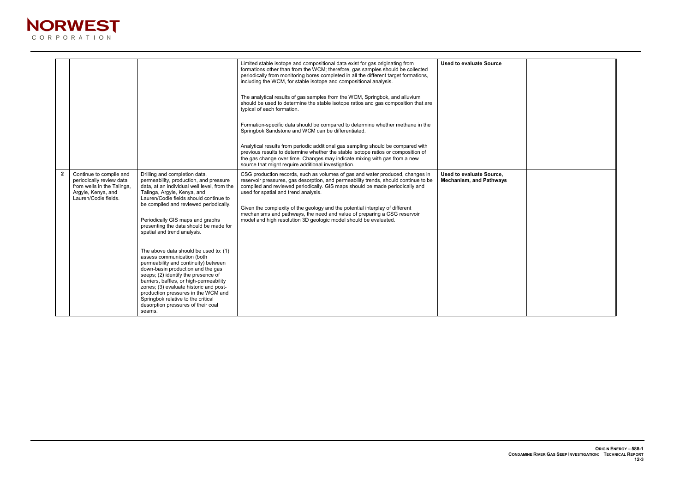

|             |                                                                                                                                 |                                                                                                                                                                                                                                                                                                                                                                                                                                                                                                                                                                                                                                                                                                                                                                     | Limited stable isotope and compositional data exist for gas originating from<br>formations other than from the WCM; therefore, gas samples should be collected<br>periodically from monitoring bores completed in all the different target formations,<br>including the WCM, for stable isotope and compositional analysis.<br>The analytical results of gas samples from the WCM, Springbok, and alluvium<br>should be used to determine the stable isotope ratios and gas composition that are<br>typical of each formation.<br>Formation-specific data should be compared to determine whether methane in the<br>Springbok Sandstone and WCM can be differentiated.<br>Analytical results from periodic additional gas sampling should be compared with<br>previous results to determine whether the stable isotope ratios or composition of<br>the gas change over time. Changes may indicate mixing with gas from a new<br>source that might require additional investigation. | <b>Used to evaluate Source</b>                             |
|-------------|---------------------------------------------------------------------------------------------------------------------------------|---------------------------------------------------------------------------------------------------------------------------------------------------------------------------------------------------------------------------------------------------------------------------------------------------------------------------------------------------------------------------------------------------------------------------------------------------------------------------------------------------------------------------------------------------------------------------------------------------------------------------------------------------------------------------------------------------------------------------------------------------------------------|-------------------------------------------------------------------------------------------------------------------------------------------------------------------------------------------------------------------------------------------------------------------------------------------------------------------------------------------------------------------------------------------------------------------------------------------------------------------------------------------------------------------------------------------------------------------------------------------------------------------------------------------------------------------------------------------------------------------------------------------------------------------------------------------------------------------------------------------------------------------------------------------------------------------------------------------------------------------------------------|------------------------------------------------------------|
| $2^{\circ}$ | Continue to compile and<br>periodically review data<br>from wells in the Talinga,<br>Argyle, Kenya, and<br>Lauren/Codie fields. | Drilling and completion data,<br>permeability, production, and pressure<br>data, at an individual well level, from the<br>Talinga, Argyle, Kenya, and<br>Lauren/Codie fields should continue to<br>be compiled and reviewed periodically.<br>Periodically GIS maps and graphs<br>presenting the data should be made for<br>spatial and trend analysis.<br>The above data should be used to: (1)<br>assess communication (both<br>permeability and continuity) between<br>down-basin production and the gas<br>seeps; (2) identify the presence of<br>barriers, baffles, or high-permeability<br>zones; (3) evaluate historic and post-<br>production pressures in the WCM and<br>Springbok relative to the critical<br>desorption pressures of their coal<br>seams. | CSG production records, such as volumes of gas and water produced, changes in<br>reservoir pressures, gas desorption, and permeability trends, should continue to be<br>compiled and reviewed periodically. GIS maps should be made periodically and<br>used for spatial and trend analysis.<br>Given the complexity of the geology and the potential interplay of different<br>mechanisms and pathways, the need and value of preparing a CSG reservoir<br>model and high resolution 3D geologic model should be evaluated.                                                                                                                                                                                                                                                                                                                                                                                                                                                        | Used to evaluate Source,<br><b>Mechanism, and Pathways</b> |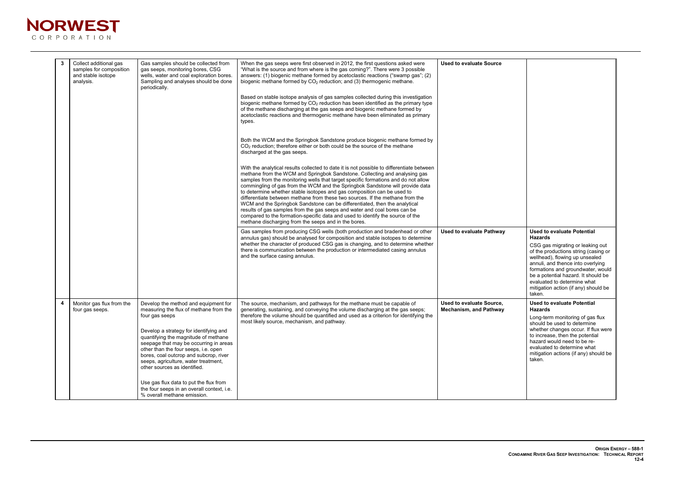

| $\mathbf{3}$ | Collect additional gas<br>samples for composition<br>and stable isotope<br>analysis. | Gas samples should be collected from<br>gas seeps, monitoring bores, CSG<br>wells, water and coal exploration bores.<br>Sampling and analyses should be done<br>periodically.                                                                                                                                                                                                          | When the gas seeps were first observed in 2012, the first questions asked were<br>"What is the source and from where is the gas coming?". There were 3 possible<br>answers: (1) biogenic methane formed by acetoclastic reactions ("swamp gas"; (2)<br>biogenic methane formed by $CO2$ reduction; and (3) thermogenic methane.<br>Based on stable isotope analysis of gas samples collected during this investigation<br>biogenic methane formed by CO <sub>2</sub> reduction has been identified as the primary type<br>of the methane discharging at the gas seeps and biogenic methane formed by<br>acetoclastic reactions and thermogenic methane have been eliminated as primary<br>types.                                                                                                                | <b>Used to evaluate Source</b>                            |                                                                                                                                                                                                                                                                                                                                    |
|--------------|--------------------------------------------------------------------------------------|----------------------------------------------------------------------------------------------------------------------------------------------------------------------------------------------------------------------------------------------------------------------------------------------------------------------------------------------------------------------------------------|-----------------------------------------------------------------------------------------------------------------------------------------------------------------------------------------------------------------------------------------------------------------------------------------------------------------------------------------------------------------------------------------------------------------------------------------------------------------------------------------------------------------------------------------------------------------------------------------------------------------------------------------------------------------------------------------------------------------------------------------------------------------------------------------------------------------|-----------------------------------------------------------|------------------------------------------------------------------------------------------------------------------------------------------------------------------------------------------------------------------------------------------------------------------------------------------------------------------------------------|
|              |                                                                                      |                                                                                                                                                                                                                                                                                                                                                                                        | Both the WCM and the Springbok Sandstone produce biogenic methane formed by<br>$CO2$ reduction; therefore either or both could be the source of the methane<br>discharged at the gas seeps.                                                                                                                                                                                                                                                                                                                                                                                                                                                                                                                                                                                                                     |                                                           |                                                                                                                                                                                                                                                                                                                                    |
|              |                                                                                      |                                                                                                                                                                                                                                                                                                                                                                                        | With the analytical results collected to date it is not possible to differentiate between<br>methane from the WCM and Springbok Sandstone. Collecting and analysing gas<br>samples from the monitoring wells that target specific formations and do not allow<br>commingling of gas from the WCM and the Springbok Sandstone will provide data<br>to determine whether stable isotopes and gas composition can be used to<br>differentiate between methane from these two sources. If the methane from the<br>WCM and the Springbok Sandstone can be differentiated, then the analytical<br>results of gas samples from the gas seeps and water and coal bores can be<br>compared to the formation-specific data and used to identify the source of the<br>methane discharging from the seeps and in the bores. |                                                           |                                                                                                                                                                                                                                                                                                                                    |
|              |                                                                                      |                                                                                                                                                                                                                                                                                                                                                                                        | Gas samples from producing CSG wells (both production and bradenhead or other<br>annulus gas) should be analysed for composition and stable isotopes to determine<br>whether the character of produced CSG gas is changing, and to determine whether<br>there is communication between the production or intermediated casing annulus<br>and the surface casing annulus.                                                                                                                                                                                                                                                                                                                                                                                                                                        | <b>Used to evaluate Pathway</b>                           | <b>Used to evaluate Potential</b><br><b>Hazards</b><br>CSG gas migrating or leaking<br>of the productions string (cas<br>wellhead), flowing up unseal<br>annuli, and thence into overl<br>formations and groundwater<br>be a potential hazard. It shou<br>evaluated to determine what<br>mitigation action (if any) shor<br>taken. |
| 4            | Monitor gas flux from the<br>four gas seeps.                                         | Develop the method and equipment for<br>measuring the flux of methane from the<br>four gas seeps<br>Develop a strategy for identifying and<br>quantifying the magnitude of methane<br>seepage that may be occurring in areas<br>other than the four seeps, i.e. open<br>bores, coal outcrop and subcrop, river<br>seeps, agriculture, water treatment,<br>other sources as identified. | The source, mechanism, and pathways for the methane must be capable of<br>generating, sustaining, and conveying the volume discharging at the gas seeps;<br>therefore the volume should be quantified and used as a criterion for identifying the<br>most likely source, mechanism, and pathway.                                                                                                                                                                                                                                                                                                                                                                                                                                                                                                                | Used to evaluate Source,<br><b>Mechanism, and Pathway</b> | <b>Used to evaluate Potential</b><br><b>Hazards</b><br>Long-term monitoring of gas<br>should be used to determine<br>whether changes occur. If flu<br>to increase, then the potentia<br>hazard would need to be re-<br>evaluated to determine what<br>mitigation actions (if any) sho<br>taken.                                    |
|              |                                                                                      | Use gas flux data to put the flux from<br>the four seeps in an overall context, i.e.<br>% overall methane emission.                                                                                                                                                                                                                                                                    |                                                                                                                                                                                                                                                                                                                                                                                                                                                                                                                                                                                                                                                                                                                                                                                                                 |                                                           |                                                                                                                                                                                                                                                                                                                                    |

| <b>Used to evaluate Potential</b><br><b>Hazards</b><br>CSG gas migrating or leaking out<br>of the productions string (casing or<br>wellhead), flowing up unsealed<br>annuli, and thence into overlying<br>formations and groundwater, would<br>be a potential hazard. It should be<br>evaluated to determine what<br>mitigation action (if any) should be<br>taken. |  |
|---------------------------------------------------------------------------------------------------------------------------------------------------------------------------------------------------------------------------------------------------------------------------------------------------------------------------------------------------------------------|--|
| <b>Used to evaluate Potential</b><br><b>Hazards</b><br>Long-term monitoring of gas flux<br>should be used to determine<br>whether changes occur. If flux were<br>to increase, then the potential<br>hazard would need to be re-<br>evaluated to determine what<br>mitigation actions (if any) should be<br>taken.                                                   |  |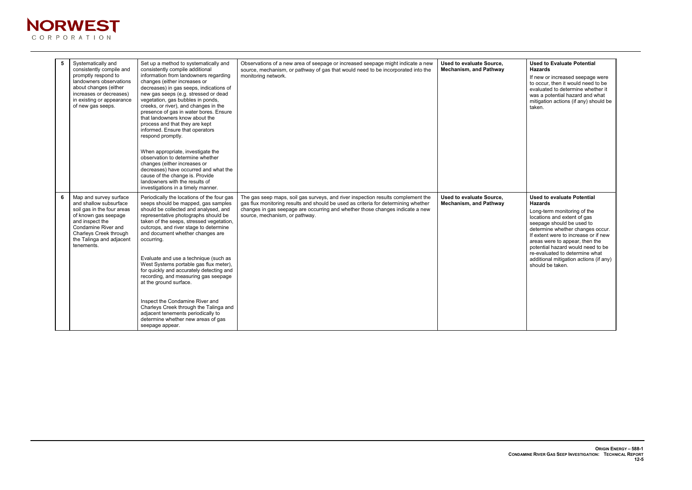## **Used to Evaluate Potential Hazards**

If new or increased seepage were to occur, then it would need to be evaluated to determine whether it was a potential hazard and what mitigation actions (if any) should be taken.



| 5 | Systematically and<br>consistently compile and<br>promptly respond to<br>landowners observations<br>about changes (either<br>increases or decreases)<br>in existing or appearance<br>of new gas seeps.               | Set up a method to systematically and<br>consistently compile additional<br>information from landowners regarding<br>changes (either increases or<br>decreases) in gas seeps, indications of<br>new gas seeps (e.g. stressed or dead<br>vegetation, gas bubbles in ponds,<br>creeks, or river), and changes in the<br>presence of gas in water bores. Ensure<br>that landowners know about the<br>process and that they are kept<br>informed. Ensure that operators<br>respond promptly.<br>When appropriate, investigate the<br>observation to determine whether<br>changes (either increases or<br>decreases) have occurred and what the<br>cause of the change is. Provide<br>landowners with the results of<br>investigations in a timely manner. | Observations of a new area of seepage or increased seepage might indicate a new<br>source, mechanism, or pathway of gas that would need to be incorporated into the<br>monitoring network.                                                                                                | Used to evaluate Source,<br><b>Mechanism, and Pathway</b> |
|---|----------------------------------------------------------------------------------------------------------------------------------------------------------------------------------------------------------------------|-------------------------------------------------------------------------------------------------------------------------------------------------------------------------------------------------------------------------------------------------------------------------------------------------------------------------------------------------------------------------------------------------------------------------------------------------------------------------------------------------------------------------------------------------------------------------------------------------------------------------------------------------------------------------------------------------------------------------------------------------------|-------------------------------------------------------------------------------------------------------------------------------------------------------------------------------------------------------------------------------------------------------------------------------------------|-----------------------------------------------------------|
| 6 | Map and survey surface<br>and shallow subsurface<br>soil gas in the four areas<br>of known gas seepage<br>and inspect the<br>Condamine River and<br>Charleys Creek through<br>the Talinga and adjacent<br>tenements. | Periodically the locations of the four gas<br>seeps should be mapped, gas samples<br>should be collected and analysed, and<br>representative photographs should be<br>taken of the seeps, stressed vegetation,<br>outcrops, and river stage to determine<br>and document whether changes are<br>occurring.<br>Evaluate and use a technique (such as<br>West Systems portable gas flux meter),<br>for quickly and accurately detecting and<br>recording, and measuring gas seepage<br>at the ground surface.<br>Inspect the Condamine River and<br>Charleys Creek through the Talinga and<br>adjacent tenements periodically to<br>determine whether new areas of gas<br>seepage appear.                                                               | The gas seep maps, soil gas surveys, and river inspection results complement the<br>gas flux monitoring results and should be used as criteria for determining whether<br>changes in gas seepage are occurring and whether those changes indicate a new<br>source, mechanism, or pathway. | Used to evaluate Source,<br><b>Mechanism, and Pathway</b> |

## **Used to evaluate Potential Hazards**

Long-term monitoring of the locations and extent of gas seepage should be used to determine whether changes occur. If extent were to increase or if new areas were to appear, then the potential hazard would need to be re-evaluated to determine what additional mitigation actions (if any) should be taken.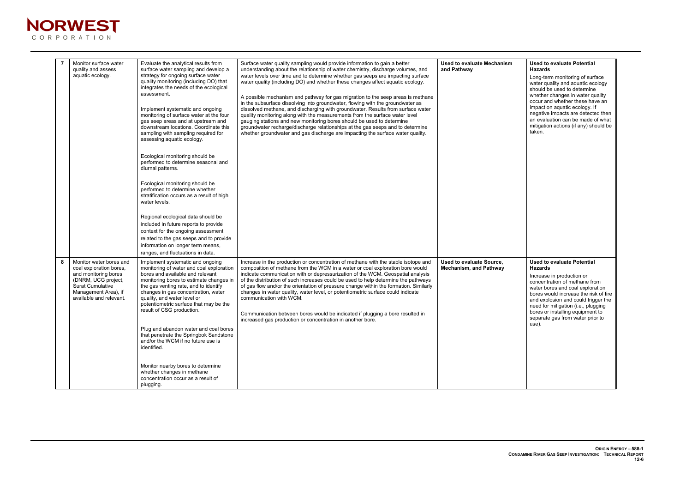| <b>Used to evaluate Potential</b><br><b>Hazards</b>                                                                                                                                                                                                                                                                                       |
|-------------------------------------------------------------------------------------------------------------------------------------------------------------------------------------------------------------------------------------------------------------------------------------------------------------------------------------------|
| Long-term monitoring of surface<br>water quality and aquatic ecology<br>should be used to determine<br>whether changes in water quality<br>occur and whether these have an<br>impact on aquatic ecology. If<br>negative impacts are detected then<br>an evaluation can be made of what<br>mitigation actions (if any) should be<br>taken. |
| <b>Used to evaluate Potential</b><br>Hazards                                                                                                                                                                                                                                                                                              |
| Increase in production or<br>concentration of methane from<br>water bores and coal exploration<br>bores would increase the risk of fire<br>and explosion and could trigger the<br>need for mitigation (i.e., plugging<br>bores or installing equipment to<br>separate gas from water prior to<br>use).                                    |
|                                                                                                                                                                                                                                                                                                                                           |



|   | Monitor surface water<br>quality and assess<br>aquatic ecology.                                                                                                                 | Evaluate the analytical results from<br>surface water sampling and develop a<br>strategy for ongoing surface water<br>quality monitoring (including DO) that<br>integrates the needs of the ecological<br>assessment.<br>Implement systematic and ongoing<br>monitoring of surface water at the four<br>gas seep areas and at upstream and<br>downstream locations. Coordinate this<br>sampling with sampling required for<br>assessing aquatic ecology.<br>Ecological monitoring should be<br>performed to determine seasonal and<br>diurnal patterns.<br>Ecological monitoring should be<br>performed to determine whether<br>stratification occurs as a result of high<br>water levels.<br>Regional ecological data should be<br>included in future reports to provide<br>context for the ongoing assessment<br>related to the gas seeps and to provide<br>information on longer term means,<br>ranges, and fluctuations in data. | Surface water quality sampling would provide information to gain a better<br>understanding about the relationship of water chemistry, discharge volumes, and<br>water levels over time and to determine whether gas seeps are impacting surface<br>water quality (including DO) and whether these changes affect aquatic ecology.<br>A possible mechanism and pathway for gas migration to the seep areas is methane<br>in the subsurface dissolving into groundwater, flowing with the groundwater as<br>dissolved methane, and discharging with groundwater. Results from surface water<br>quality monitoring along with the measurements from the surface water level<br>gauging stations and new monitoring bores should be used to determine<br>groundwater recharge/discharge relationships at the gas seeps and to determine<br>whether groundwater and gas discharge are impacting the surface water quality. | <b>Used to evaluate Mechanism</b><br>and Pathway          |
|---|---------------------------------------------------------------------------------------------------------------------------------------------------------------------------------|--------------------------------------------------------------------------------------------------------------------------------------------------------------------------------------------------------------------------------------------------------------------------------------------------------------------------------------------------------------------------------------------------------------------------------------------------------------------------------------------------------------------------------------------------------------------------------------------------------------------------------------------------------------------------------------------------------------------------------------------------------------------------------------------------------------------------------------------------------------------------------------------------------------------------------------|-----------------------------------------------------------------------------------------------------------------------------------------------------------------------------------------------------------------------------------------------------------------------------------------------------------------------------------------------------------------------------------------------------------------------------------------------------------------------------------------------------------------------------------------------------------------------------------------------------------------------------------------------------------------------------------------------------------------------------------------------------------------------------------------------------------------------------------------------------------------------------------------------------------------------|-----------------------------------------------------------|
| 8 | Monitor water bores and<br>coal exploration bores,<br>and monitoring bores<br>(DNRM, UCG project,<br><b>Surat Cumulative</b><br>Management Area), if<br>available and relevant. | Implement systematic and ongoing<br>monitoring of water and coal exploration<br>bores and available and relevant<br>monitoring bores to estimate changes in<br>the gas venting rate, and to identify<br>changes in gas concentration, water<br>quality, and water level or<br>potentiometric surface that may be the<br>result of CSG production.<br>Plug and abandon water and coal bores<br>that penetrate the Springbok Sandstone<br>and/or the WCM if no future use is<br>identified.<br>Monitor nearby bores to determine<br>whether changes in methane<br>concentration occur as a result of<br>plugging.                                                                                                                                                                                                                                                                                                                      | Increase in the production or concentration of methane with the stable isotope and<br>composition of methane from the WCM in a water or coal exploration bore would<br>indicate communication with or depressurization of the WCM. Geospatial analysis<br>of the distribution of such increases could be used to help determine the pathways<br>of gas flow and/or the orientation of pressure change within the formation. Similarly<br>changes in water quality, water level, or potentiometric surface could indicate<br>communication with WCM.<br>Communication between bores would be indicated if plugging a bore resulted in<br>increased gas production or concentration in another bore.                                                                                                                                                                                                                    | Used to evaluate Source,<br><b>Mechanism, and Pathway</b> |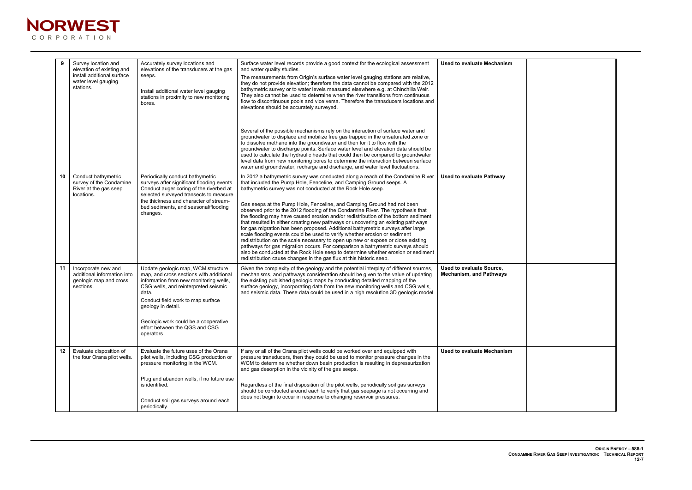

|                 | Survey location and<br>elevation of existing and<br>install additional surface<br>water level gauging<br>stations. | Accurately survey locations and<br>elevations of the transducers at the gas<br>seeps.<br>Install additional water level gauging<br>stations in proximity to new monitoring<br>bores.                                                                                                                                       | Surface water level records provide a good context for the ecological assessment<br>and water quality studies.<br>The measurements from Origin's surface water level gauging stations are relative,<br>they do not provide elevation; therefore the data cannot be compared with the 2012<br>bathymetric survey or to water levels measured elsewhere e.g. at Chinchilla Weir.<br>They also cannot be used to determine when the river transitions from continuous<br>flow to discontinuous pools and vice versa. Therefore the transducers locations and<br>elevations should be accurately surveyed.<br>Several of the possible mechanisms rely on the interaction of surface water and<br>groundwater to displace and mobilize free gas trapped in the unsaturated zone or<br>to dissolve methane into the groundwater and then for it to flow with the<br>groundwater to discharge points. Surface water level and elevation data should be<br>used to calculate the hydraulic heads that could then be compared to groundwater<br>level data from new monitoring bores to determine the interaction between surface<br>water and groundwater, recharge and discharge, and water level fluctuations. | <b>Used to evaluate Mechanism</b>                          |
|-----------------|--------------------------------------------------------------------------------------------------------------------|----------------------------------------------------------------------------------------------------------------------------------------------------------------------------------------------------------------------------------------------------------------------------------------------------------------------------|----------------------------------------------------------------------------------------------------------------------------------------------------------------------------------------------------------------------------------------------------------------------------------------------------------------------------------------------------------------------------------------------------------------------------------------------------------------------------------------------------------------------------------------------------------------------------------------------------------------------------------------------------------------------------------------------------------------------------------------------------------------------------------------------------------------------------------------------------------------------------------------------------------------------------------------------------------------------------------------------------------------------------------------------------------------------------------------------------------------------------------------------------------------------------------------------------------|------------------------------------------------------------|
| 10 <sup>°</sup> | Conduct bathymetric<br>survey of the Condamine<br>River at the gas seep<br>locations.                              | Periodically conduct bathymetric<br>surveys after significant flooding events.<br>Conduct auger coring of the riverbed at<br>selected surveyed transects to measure<br>the thickness and character of stream-<br>bed sediments, and seasonal/flooding<br>changes.                                                          | In 2012 a bathymetric survey was conducted along a reach of the Condamine River<br>that included the Pump Hole, Fenceline, and Camping Ground seeps. A<br>bathymetric survey was not conducted at the Rock Hole seep.<br>Gas seeps at the Pump Hole, Fenceline, and Camping Ground had not been<br>observed prior to the 2012 flooding of the Condamine River. The hypothesis that<br>the flooding may have caused erosion and/or redistribution of the bottom sediment<br>that resulted in either creating new pathways or uncovering an existing pathways<br>for gas migration has been proposed. Additional bathymetric surveys after large<br>scale flooding events could be used to verify whether erosion or sediment<br>redistribution on the scale necessary to open up new or expose or close existing<br>pathways for gas migration occurs. For comparison a bathymetric surveys should<br>also be conducted at the Rock Hole seep to determine whether erosion or sediment<br>redistribution cause changes in the gas flux at this historic seep.                                                                                                                                             | <b>Used to evaluate Pathway</b>                            |
| 11              | Incorporate new and<br>additional information into<br>geologic map and cross<br>sections.                          | Update geologic map, WCM structure<br>map, and cross sections with additional<br>information from new monitoring wells,<br>CSG wells, and reinterpreted seismic<br>data.<br>Conduct field work to map surface<br>geology in detail.<br>Geologic work could be a cooperative<br>effort between the QGS and CSG<br>operators | Given the complexity of the geology and the potential interplay of different sources,<br>mechanisms, and pathways consideration should be given to the value of updating<br>the existing published geologic maps by conducting detailed mapping of the<br>surface geology, incorporating data from the new monitoring wells and CSG wells,<br>and seismic data. These data could be used in a high resolution 3D geologic model                                                                                                                                                                                                                                                                                                                                                                                                                                                                                                                                                                                                                                                                                                                                                                          | Used to evaluate Source,<br><b>Mechanism, and Pathways</b> |
| 12 <sub>2</sub> | Evaluate disposition of<br>the four Orana pilot wells.                                                             | Evaluate the future uses of the Orana<br>pilot wells, including CSG production or<br>pressure monitoring in the WCM.<br>Plug and abandon wells, if no future use<br>is identified.<br>Conduct soil gas surveys around each<br>periodically.                                                                                | If any or all of the Orana pilot wells could be worked over and equipped with<br>pressure transducers, then they could be used to monitor pressure changes in the<br>WCM to determine whether down basin production is resulting in depressurization<br>and gas desorption in the vicinity of the gas seeps.<br>Regardless of the final disposition of the pilot wells, periodically soil gas surveys<br>should be conducted around each to verify that gas seepage is not occurring and<br>does not begin to occur in response to changing reservoir pressures.                                                                                                                                                                                                                                                                                                                                                                                                                                                                                                                                                                                                                                         | <b>Used to evaluate Mechanism</b>                          |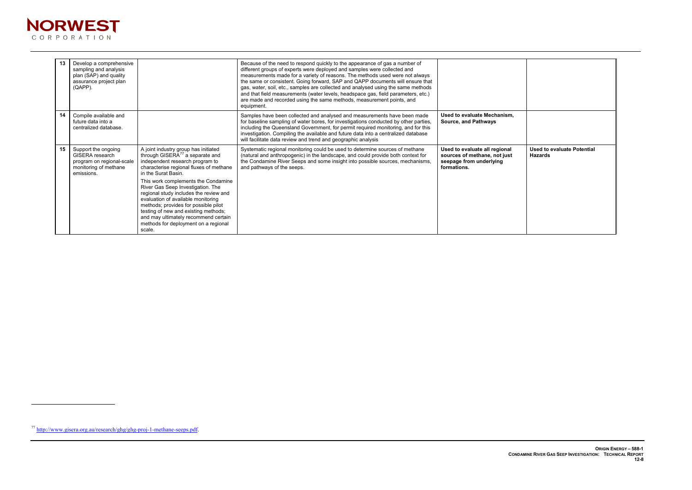$\overline{a}$ 



| 13 | Develop a comprehensive<br>sampling and analysis<br>plan (SAP) and quality<br>assurance project plan<br>(QAPP).   |                                                                                                                                                                                                                                                                                                                                                                                                                                                                                                                                | Because of the need to respond quickly to the appearance of gas a number of<br>different groups of experts were deployed and samples were collected and<br>measurements made for a variety of reasons. The methods used were not always<br>the same or consistent. Going forward, SAP and QAPP documents will ensure that<br>gas, water, soil, etc., samples are collected and analysed using the same methods<br>and that field measurements (water levels, headspace gas, field parameters, etc.)<br>are made and recorded using the same methods, measurement points, and<br>equipment. |                                                                                                         |
|----|-------------------------------------------------------------------------------------------------------------------|--------------------------------------------------------------------------------------------------------------------------------------------------------------------------------------------------------------------------------------------------------------------------------------------------------------------------------------------------------------------------------------------------------------------------------------------------------------------------------------------------------------------------------|--------------------------------------------------------------------------------------------------------------------------------------------------------------------------------------------------------------------------------------------------------------------------------------------------------------------------------------------------------------------------------------------------------------------------------------------------------------------------------------------------------------------------------------------------------------------------------------------|---------------------------------------------------------------------------------------------------------|
| 14 | Compile available and<br>future data into a<br>centralized database.                                              |                                                                                                                                                                                                                                                                                                                                                                                                                                                                                                                                | Samples have been collected and analysed and measurements have been made<br>for baseline sampling of water bores, for investigations conducted by other parties,<br>including the Queensland Government, for permit required monitoring, and for this<br>investigation. Compiling the available and future data into a centralized database<br>will facilitate data review and trend and geographic analysis                                                                                                                                                                               | Used to evaluate Mechanism,<br><b>Source, and Pathways</b>                                              |
| 15 | Support the ongoing<br><b>GISERA</b> research<br>program on regional-scale<br>monitoring of methane<br>emissions. | A joint industry group has initiated<br>through GISERA <sup>77</sup> a separate and<br>independent research program to<br>characterise regional fluxes of methane<br>in the Surat Basin.<br>This work complements the Condamine<br>River Gas Seep Investigation. The<br>regional study includes the review and<br>evaluation of available monitoring<br>methods; provides for possible pilot<br>testing of new and existing methods;<br>and may ultimately recommend certain<br>methods for deployment on a regional<br>scale. | Systematic regional monitoring could be used to determine sources of methane<br>(natural and anthropogenic) in the landscape, and could provide both context for<br>the Condamine River Seeps and some insight into possible sources, mechanisms,<br>and pathways of the seeps.                                                                                                                                                                                                                                                                                                            | Used to evaluate all regional<br>sources of methane, not just<br>seepage from underlying<br>formations. |



<sup>77</sup> http://www.gisera.org.au/research/ghg/ghg-proj-1-methane-seeps.pdf.